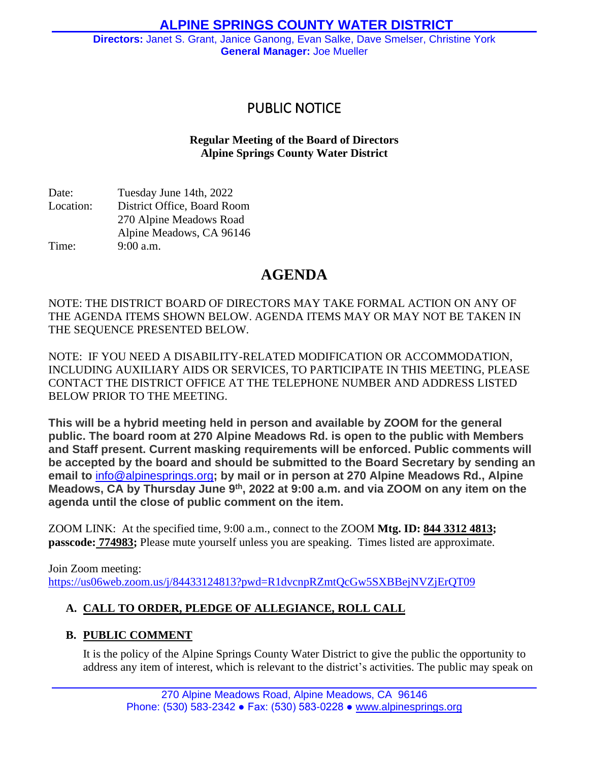# PUBLIC NOTICE

# **Regular Meeting of the Board of Directors Alpine Springs County Water District**

Date: Tuesday June 14th, 2022 Location: District Office, Board Room 270 Alpine Meadows Road Alpine Meadows, CA 96146 Time: 9:00 a.m.

# **AGENDA**

NOTE: THE DISTRICT BOARD OF DIRECTORS MAY TAKE FORMAL ACTION ON ANY OF THE AGENDA ITEMS SHOWN BELOW. AGENDA ITEMS MAY OR MAY NOT BE TAKEN IN THE SEQUENCE PRESENTED BELOW.

NOTE: IF YOU NEED A DISABILITY-RELATED MODIFICATION OR ACCOMMODATION, INCLUDING AUXILIARY AIDS OR SERVICES, TO PARTICIPATE IN THIS MEETING, PLEASE CONTACT THE DISTRICT OFFICE AT THE TELEPHONE NUMBER AND ADDRESS LISTED BELOW PRIOR TO THE MEETING.

**This will be a hybrid meeting held in person and available by ZOOM for the general public. The board room at 270 Alpine Meadows Rd. is open to the public with Members and Staff present. Current masking requirements will be enforced. Public comments will be accepted by the board and should be submitted to the Board Secretary by sending an email to** [info@alpinesprings.org](mailto:info@alpinesprings.org)**; by mail or in person at 270 Alpine Meadows Rd., Alpine** Meadows, CA by Thursday June 9th, 2022 at 9:00 a.m. and via ZOOM on any item on the **agenda until the close of public comment on the item.**

ZOOM LINK: At the specified time, 9:00 a.m., connect to the ZOOM **Mtg. ID: 844 3312 4813; passcode: 774983;** Please mute yourself unless you are speaking. Times listed are approximate.

Join Zoom meeting: <https://us06web.zoom.us/j/84433124813?pwd=R1dvcnpRZmtQcGw5SXBBejNVZjErQT09>

# **A. CALL TO ORDER, PLEDGE OF ALLEGIANCE, ROLL CALL**

# **B. PUBLIC COMMENT**

It is the policy of the Alpine Springs County Water District to give the public the opportunity to address any item of interest, which is relevant to the district's activities. The public may speak on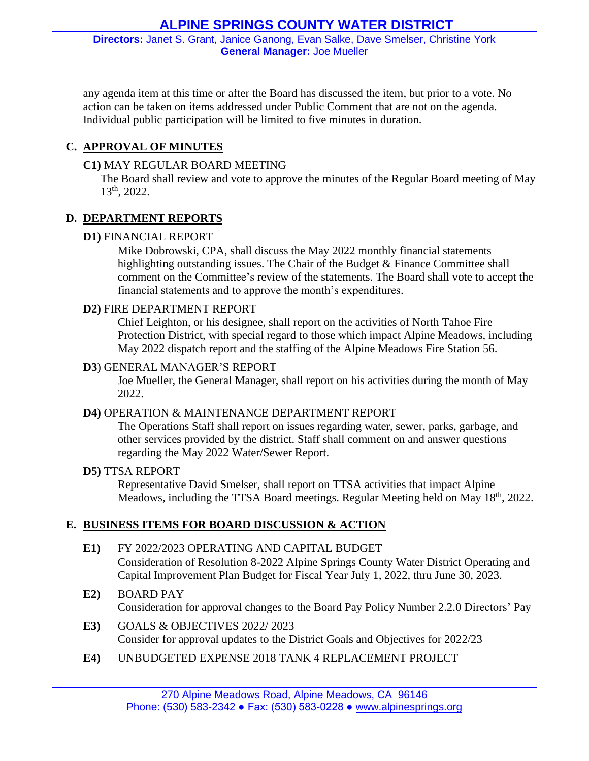any agenda item at this time or after the Board has discussed the item, but prior to a vote. No action can be taken on items addressed under Public Comment that are not on the agenda. Individual public participation will be limited to five minutes in duration.

### **C. APPROVAL OF MINUTES**

#### **C1)** MAY REGULAR BOARD MEETING

The Board shall review and vote to approve the minutes of the Regular Board meeting of May 13th, 2022.

#### **D. DEPARTMENT REPORTS**

#### **D1)** FINANCIAL REPORT

Mike Dobrowski, CPA, shall discuss the May 2022 monthly financial statements highlighting outstanding issues. The Chair of the Budget & Finance Committee shall comment on the Committee's review of the statements. The Board shall vote to accept the financial statements and to approve the month's expenditures.

#### **D2)** FIRE DEPARTMENT REPORT

Chief Leighton, or his designee, shall report on the activities of North Tahoe Fire Protection District, with special regard to those which impact Alpine Meadows, including May 2022 dispatch report and the staffing of the Alpine Meadows Fire Station 56.

#### **D3**) GENERAL MANAGER'S REPORT

Joe Mueller, the General Manager, shall report on his activities during the month of May 2022.

#### **D4)** OPERATION & MAINTENANCE DEPARTMENT REPORT

The Operations Staff shall report on issues regarding water, sewer, parks, garbage, and other services provided by the district. Staff shall comment on and answer questions regarding the May 2022 Water/Sewer Report.

#### **D5)** TTSA REPORT

Representative David Smelser, shall report on TTSA activities that impact Alpine Meadows, including the TTSA Board meetings. Regular Meeting held on May 18<sup>th</sup>, 2022.

#### **E. BUSINESS ITEMS FOR BOARD DISCUSSION & ACTION**

#### **E1)** FY 2022/2023 OPERATING AND CAPITAL BUDGET Consideration of Resolution 8-2022 Alpine Springs County Water District Operating and Capital Improvement Plan Budget for Fiscal Year July 1, 2022, thru June 30, 2023.

- **E2)** BOARD PAY Consideration for approval changes to the Board Pay Policy Number 2.2.0 Directors' Pay
- **E3)** GOALS & OBJECTIVES 2022/ 2023 Consider for approval updates to the District Goals and Objectives for 2022/23
- **E4)** UNBUDGETED EXPENSE 2018 TANK 4 REPLACEMENT PROJECT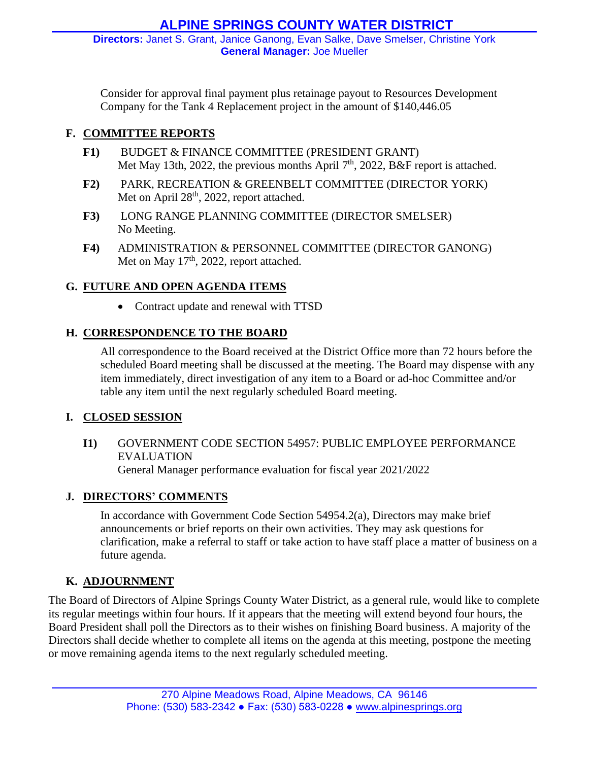Consider for approval final payment plus retainage payout to Resources Development Company for the Tank 4 Replacement project in the amount of \$140,446.05

### **F. COMMITTEE REPORTS**

- **F1)** BUDGET & FINANCE COMMITTEE (PRESIDENT GRANT) Met May 13th, 2022, the previous months April  $7<sup>th</sup>$ , 2022, B&F report is attached.
- **F2)** PARK, RECREATION & GREENBELT COMMITTEE (DIRECTOR YORK) Met on April 28<sup>th</sup>, 2022, report attached.
- **F3)** LONG RANGE PLANNING COMMITTEE (DIRECTOR SMELSER) No Meeting.
- **F4)** ADMINISTRATION & PERSONNEL COMMITTEE (DIRECTOR GANONG) Met on May 17<sup>th</sup>, 2022, report attached.

### **G. FUTURE AND OPEN AGENDA ITEMS**

• Contract update and renewal with TTSD

# **H. CORRESPONDENCE TO THE BOARD**

All correspondence to the Board received at the District Office more than 72 hours before the scheduled Board meeting shall be discussed at the meeting. The Board may dispense with any item immediately, direct investigation of any item to a Board or ad-hoc Committee and/or table any item until the next regularly scheduled Board meeting.

#### **I. CLOSED SESSION**

**I1)** GOVERNMENT CODE SECTION 54957: PUBLIC EMPLOYEE PERFORMANCE EVALUATION General Manager performance evaluation for fiscal year 2021/2022

#### **J. DIRECTORS' COMMENTS**

In accordance with Government Code Section 54954.2(a), Directors may make brief announcements or brief reports on their own activities. They may ask questions for clarification, make a referral to staff or take action to have staff place a matter of business on a future agenda.

# **K. ADJOURNMENT**

The Board of Directors of Alpine Springs County Water District, as a general rule, would like to complete its regular meetings within four hours. If it appears that the meeting will extend beyond four hours, the Board President shall poll the Directors as to their wishes on finishing Board business. A majority of the Directors shall decide whether to complete all items on the agenda at this meeting, postpone the meeting or move remaining agenda items to the next regularly scheduled meeting.